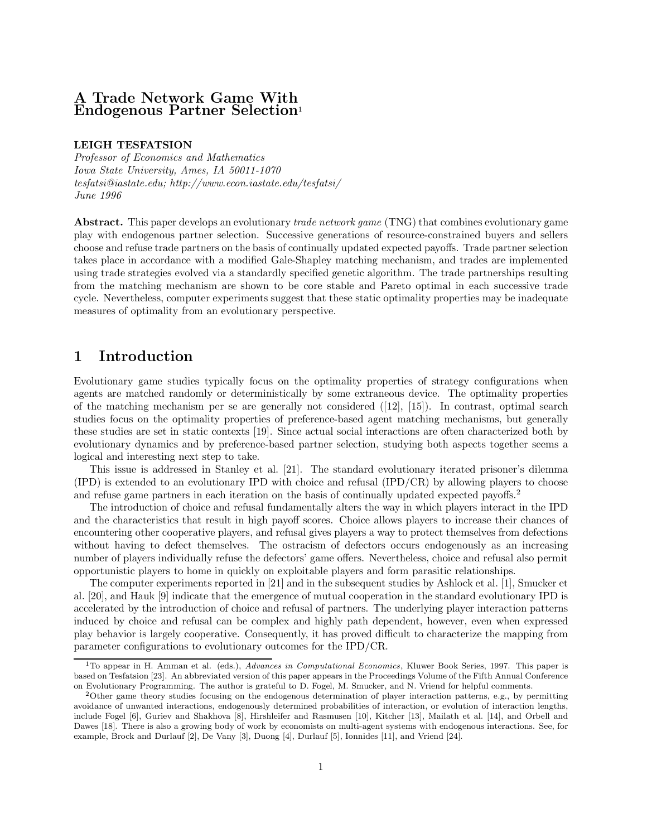### A Trade Network Game With Endogenous Partner Selection<sup>1</sup>

### **LEIGH TESFATSION**

Professor of Economics and Mathematics Iowa State University, Ames, IA 50011-1070 tesfatsi@iastate.edu; http://www.econ.iastate.edu/tesfatsi/ June 1996

**Abstract.** This paper develops an evolutionary trade network game (TNG) that combines evolutionary game play with endogenous partner selection. Successive generations of resource-constrained buyers and sellers choose and refuse trade partners on the basis of continually updated expected payoffs. Trade partner selection takes place in accordance with a modified Gale-Shapley matching mechanism, and trades are implemented using trade strategies evolved via a standardly specified genetic algorithm. The trade partnerships resulting from the matching mechanism are shown to be core stable and Pareto optimal in each successive trade cycle. Nevertheless, computer experiments suggest that these static optimality properties may be inadequate measures of optimality from an evolutionary perspective.

## 1 Introduction

Evolutionary game studies typically focus on the optimality properties of strategy configurations when agents are matched randomly or deterministically by some extraneous device. The optimality properties of the matching mechanism per se are generally not considered ([12], [15]). In contrast, optimal search studies focus on the optimality properties of preference-based agent matching mechanisms, but generally these studies are set in static contexts [19]. Since actual social interactions are often characterized both by evolutionary dynamics and by preference-based partner selection, studying both aspects together seems a logical and interesting next step to take.

This issue is addressed in Stanley et al. [21]. The standard evolutionary iterated prisoner's dilemma (IPD) is extended to an evolutionary IPD with choice and refusal (IPD/CR) by allowing players to choose and refuse game partners in each iteration on the basis of continually updated expected payoffs.<sup>2</sup>

The introduction of choice and refusal fundamentally alters the way in which players interact in the IPD and the characteristics that result in high payoff scores. Choice allows players to increase their chances of encountering other cooperative players, and refusal gives players a way to protect themselves from defections without having to defect themselves. The ostracism of defectors occurs endogenously as an increasing number of players individually refuse the defectors' game offers. Nevertheless, choice and refusal also permit opportunistic players to home in quickly on exploitable players and form parasitic relationships.

The computer experiments reported in [21] and in the subsequent studies by Ashlock et al. [1], Smucker et al. [20], and Hauk [9] indicate that the emergence of mutual cooperation in the standard evolutionary IPD is accelerated by the introduction of choice and refusal of partners. The underlying player interaction patterns induced by choice and refusal can be complex and highly path dependent, however, even when expressed play behavior is largely cooperative. Consequently, it has proved difficult to characterize the mapping from parameter configurations to evolutionary outcomes for the IPD/CR.

<sup>&</sup>lt;sup>1</sup>To appear in H. Amman et al. (eds.), Advances in Computational Economics, Kluwer Book Series, 1997. This paper is based on Tesfatsion [23]. An abbreviated version of this paper appears in the Proceedings Volume of the Fifth Annual Conference on Evolutionary Programming. The author is grateful to D. Fogel, M. Smucker, and N. Vriend for helpful comments.

 $2$ Other game theory studies focusing on the endogenous determination of player interaction patterns, e.g., by permitting avoidance of unwanted interactions, endogenously determined probabilities of interaction, or evolution of interaction lengths, include Fogel [6], Guriev and Shakhova [8], Hirshleifer and Rasmusen [10], Kitcher [13], Mailath et al. [14], and Orbell and Dawes [18]. There is also a growing body of work by economists on multi-agent systems with endogenous interactions. See, for example, Brock and Durlauf [2], De Vany [3], Duong [4], Durlauf [5], Ionnides [11], and Vriend [24].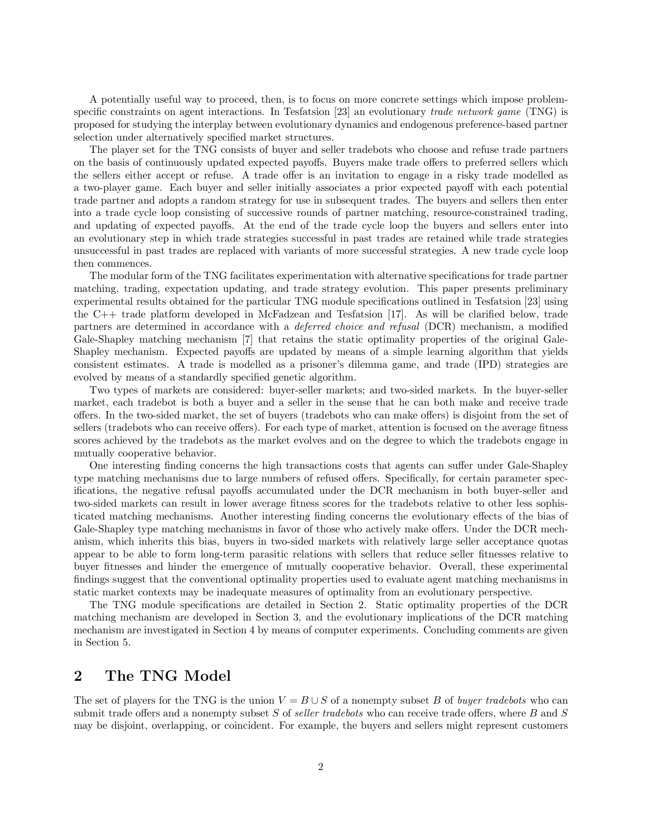A potentially useful way to proceed, then, is to focus on more concrete settings which impose problemspecific constraints on agent interactions. In Tesfatsion [23] an evolutionary trade network game (TNG) is proposed for studying the interplay between evolutionary dynamics and endogenous preference-based partner selection under alternatively specified market structures.

The player set for the TNG consists of buyer and seller tradebots who choose and refuse trade partners on the basis of continuously updated expected payoffs. Buyers make trade offers to preferred sellers which the sellers either accept or refuse. A trade offer is an invitation to engage in a risky trade modelled as a two-player game. Each buyer and seller initially associates a prior expected payoff with each potential trade partner and adopts a random strategy for use in subsequent trades. The buyers and sellers then enter into a trade cycle loop consisting of successive rounds of partner matching, resource-constrained trading, and updating of expected payoffs. At the end of the trade cycle loop the buyers and sellers enter into an evolutionary step in which trade strategies successful in past trades are retained while trade strategies unsuccessful in past trades are replaced with variants of more successful strategies. A new trade cycle loop then commences.

The modular form of the TNG facilitates experimentation with alternative specifications for trade partner matching, trading, expectation updating, and trade strategy evolution. This paper presents preliminary experimental results obtained for the particular TNG module specifications outlined in Tesfatsion [23] using the  $C++$  trade platform developed in McFadzean and Tesfatsion [17]. As will be clarified below, trade partners are determined in accordance with a *deferred choice and refusal* (DCR) mechanism, a modified Gale-Shapley matching mechanism [7] that retains the static optimality properties of the original Gale-Shapley mechanism. Expected payoffs are updated by means of a simple learning algorithm that yields consistent estimates. A trade is modelled as a prisoner's dilemma game, and trade (IPD) strategies are evolved by means of a standardly specified genetic algorithm.

Two types of markets are considered: buyer-seller markets; and two-sided markets. In the buyer-seller market, each tradebot is both a buyer and a seller in the sense that he can both make and receive trade o®ers. In the two-sided market, the set of buyers (tradebots who can make o®ers) is disjoint from the set of sellers (tradebots who can receive offers). For each type of market, attention is focused on the average fitness scores achieved by the tradebots as the market evolves and on the degree to which the tradebots engage in mutually cooperative behavior.

One interesting finding concerns the high transactions costs that agents can suffer under Gale-Shapley type matching mechanisms due to large numbers of refused offers. Specifically, for certain parameter specifications, the negative refusal payoffs accumulated under the DCR mechanism in both buyer-seller and two-sided markets can result in lower average fitness scores for the tradebots relative to other less sophisticated matching mechanisms. Another interesting finding concerns the evolutionary effects of the bias of Gale-Shapley type matching mechanisms in favor of those who actively make offers. Under the DCR mechanism, which inherits this bias, buyers in two-sided markets with relatively large seller acceptance quotas appear to be able to form long-term parasitic relations with sellers that reduce seller fitnesses relative to buyer fitnesses and hinder the emergence of mutually cooperative behavior. Overall, these experimental findings suggest that the conventional optimality properties used to evaluate agent matching mechanisms in static market contexts may be inadequate measures of optimality from an evolutionary perspective.

The TNG module specifications are detailed in Section 2. Static optimality properties of the DCR matching mechanism are developed in Section 3, and the evolutionary implications of the DCR matching mechanism are investigated in Section 4 by means of computer experiments. Concluding comments are given in Section 5.

# 2 The TNG Model

The set of players for the TNG is the union  $V = B \cup S$  of a nonempty subset B of buyer tradebots who can submit trade offers and a nonempty subset  $S$  of seller tradebots who can receive trade offers, where  $B$  and  $S$ may be disjoint, overlapping, or coincident. For example, the buyers and sellers might represent customers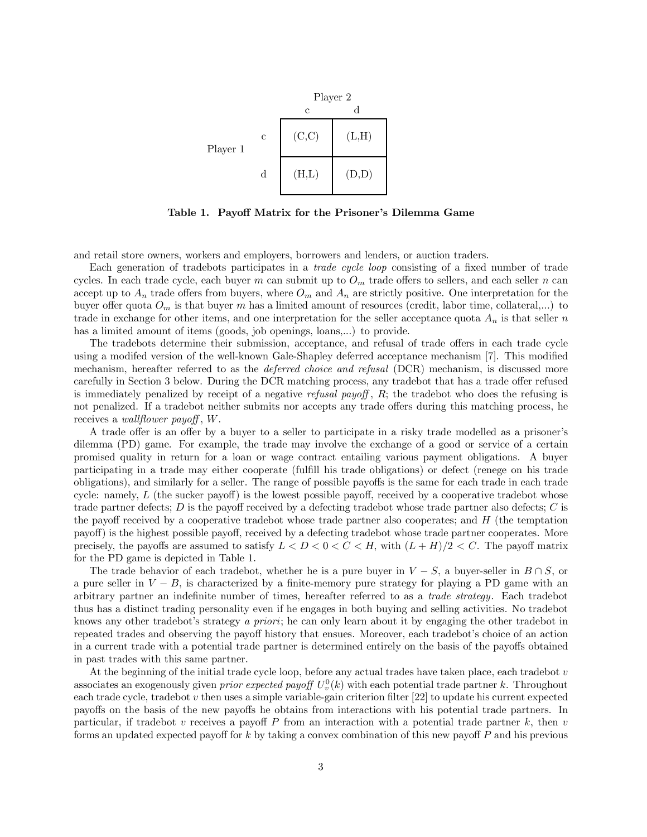

**Table 1. Payo® Matrix for the Prisoner's Dilemma Game**

and retail store owners, workers and employers, borrowers and lenders, or auction traders.

Each generation of tradebots participates in a *trade cycle loop* consisting of a fixed number of trade cycles. In each trade cycle, each buyer m can submit up to  $O_m$  trade offers to sellers, and each seller n can accept up to  $A_n$  trade offers from buyers, where  $O_m$  and  $A_n$  are strictly positive. One interpretation for the buyer offer quota  $O_m$  is that buyer m has a limited amount of resources (credit, labor time, collateral,...) to trade in exchange for other items, and one interpretation for the seller acceptance quota  $A_n$  is that seller n has a limited amount of items (goods, job openings, loans,...) to provide.

The tradebots determine their submission, acceptance, and refusal of trade offers in each trade cycle using a modifed version of the well-known Gale-Shapley deferred acceptance mechanism [7]. This modified mechanism, hereafter referred to as the *deferred choice and refusal* (DCR) mechanism, is discussed more carefully in Section 3 below. During the DCR matching process, any tradebot that has a trade offer refused is immediately penalized by receipt of a negative refusal payoff,  $R$ ; the tradebot who does the refusing is not penalized. If a tradebot neither submits nor accepts any trade offers during this matching process, he receives a wallflower payoff,  $W$ .

A trade offer is an offer by a buyer to a seller to participate in a risky trade modelled as a prisoner's dilemma (PD) game. For example, the trade may involve the exchange of a good or service of a certain promised quality in return for a loan or wage contract entailing various payment obligations. A buyer participating in a trade may either cooperate (fulfill his trade obligations) or defect (renege on his trade obligations), and similarly for a seller. The range of possible payoffs is the same for each trade in each trade cycle: namely,  $L$  (the sucker payoff) is the lowest possible payoff, received by a cooperative tradebot whose trade partner defects;  $D$  is the payoff received by a defecting tradebot whose trade partner also defects;  $C$  is the payoff received by a cooperative tradebot whose trade partner also cooperates; and  $H$  (the temptation payoff) is the highest possible payoff, received by a defecting tradebot whose trade partner cooperates. More precisely, the payoffs are assumed to satisfy  $L < D < 0 < C < H$ , with  $(L+H)/2 < C$ . The payoff matrix for the PD game is depicted in Table 1.

The trade behavior of each tradebot, whether he is a pure buyer in  $V - S$ , a buyer-seller in  $B \cap S$ , or a pure seller in  $V - B$ , is characterized by a finite-memory pure strategy for playing a PD game with an arbitrary partner an indefinite number of times, hereafter referred to as a *trade strategy*. Each tradebot thus has a distinct trading personality even if he engages in both buying and selling activities. No tradebot knows any other tradebot's strategy a priori; he can only learn about it by engaging the other tradebot in repeated trades and observing the payoff history that ensues. Moreover, each tradebot's choice of an action in a current trade with a potential trade partner is determined entirely on the basis of the payoffs obtained in past trades with this same partner.

At the beginning of the initial trade cycle loop, before any actual trades have taken place, each tradebot v associates an exogenously given *prior expected payoff*  $U_v^0(k)$  with each potential trade partner k. Throughout each trade cycle, tradebot  $v$  then uses a simple variable-gain criterion filter [22] to update his current expected payoffs on the basis of the new payoffs he obtains from interactions with his potential trade partners. In particular, if tradebot v receives a payoff P from an interaction with a potential trade partner k, then v forms an updated expected payoff for k by taking a convex combination of this new payoff  $P$  and his previous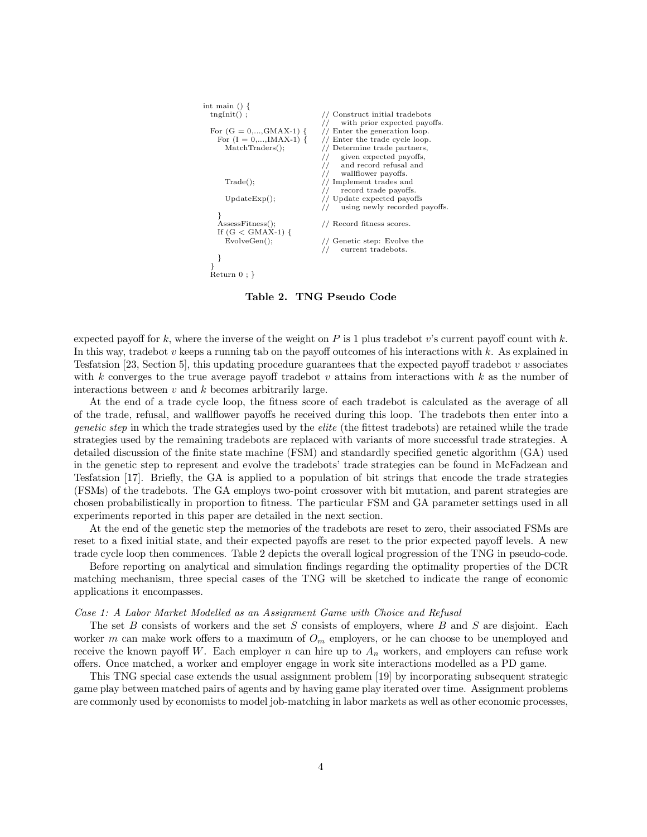```
int main () \{<br>tngInit();
                                                // Construct initial tradebots
                                                        with prior expected payoffs.
  For (G = 0,..., GMAX-1) \{\n\begin{array}{c}\n\end{array}\n\} Enter the generation loop.<br>
For (I = 0,..., IMAX-1) \{\n\begin{array}{c}\n\end{array}\n\} Enter the trade cycle loop.<br>
MatchTraders(); \end{array}\n\} Determine trade partners,
      For (I = 0,...,IMAX-1) { // Enter the trade cycle loop.<br>MatchTraders(); // Determine trade partners,
                                                // given expected payoffs,
                                                        and record refusal and
                                                        wallflower payoffs.
        \text{Trade}(); \qquad \qquad \text{/}/\text{Implement trades and}record trade payoffs.
        UpdateExp(); // Update expected payoffs
                                                \sqrt{2} using newly recorded payoffs.
      AssessFitness();
                                                // Record fitness scores.
      If (G < GMAX-1) {<br>EvolveGen();
                                                // Genetic step: Evolve the
                                                // current tradebots.
     \mathcal{E}g
Return 0 ; g
```
**Table 2. TNG Pseudo Code**

expected payoff for k, where the inverse of the weight on P is 1 plus tradebot v's current payoff count with k. In this way, tradebot v keeps a running tab on the payoff outcomes of his interactions with  $k$ . As explained in Tesfatsion [23, Section 5], this updating procedure guarantees that the expected payoff tradebot  $v$  associates with k converges to the true average payoff tradebot v attains from interactions with k as the number of interactions between  $v$  and  $k$  becomes arbitrarily large.

At the end of a trade cycle loop, the fitness score of each tradebot is calculated as the average of all of the trade, refusal, and wallflower payoffs he received during this loop. The tradebots then enter into a genetic step in which the trade strategies used by the elite (the fittest tradebots) are retained while the trade strategies used by the remaining tradebots are replaced with variants of more successful trade strategies. A detailed discussion of the finite state machine (FSM) and standardly specified genetic algorithm (GA) used in the genetic step to represent and evolve the tradebots' trade strategies can be found in McFadzean and Tesfatsion [17]. Briefly, the GA is applied to a population of bit strings that encode the trade strategies (FSMs) of the tradebots. The GA employs two-point crossover with bit mutation, and parent strategies are chosen probabilistically in proportion to fitness. The particular FSM and GA parameter settings used in all experiments reported in this paper are detailed in the next section.

At the end of the genetic step the memories of the tradebots are reset to zero, their associated FSMs are reset to a fixed initial state, and their expected payoffs are reset to the prior expected payoff levels. A new trade cycle loop then commences. Table 2 depicts the overall logical progression of the TNG in pseudo-code.

Before reporting on analytical and simulation findings regarding the optimality properties of the DCR matching mechanism, three special cases of the TNG will be sketched to indicate the range of economic applications it encompasses.

#### Case 1: A Labor Market Modelled as an Assignment Game with Choice and Refusal

The set  $B$  consists of workers and the set  $S$  consists of employers, where  $B$  and  $S$  are disjoint. Each worker m can make work offers to a maximum of  $O_m$  employers, or he can choose to be unemployed and receive the known payoff W. Each employer n can hire up to  $A_n$  workers, and employers can refuse work o®ers. Once matched, a worker and employer engage in work site interactions modelled as a PD game.

This TNG special case extends the usual assignment problem [19] by incorporating subsequent strategic game play between matched pairs of agents and by having game play iterated over time. Assignment problems are commonly used by economists to model job-matching in labor markets as well as other economic processes,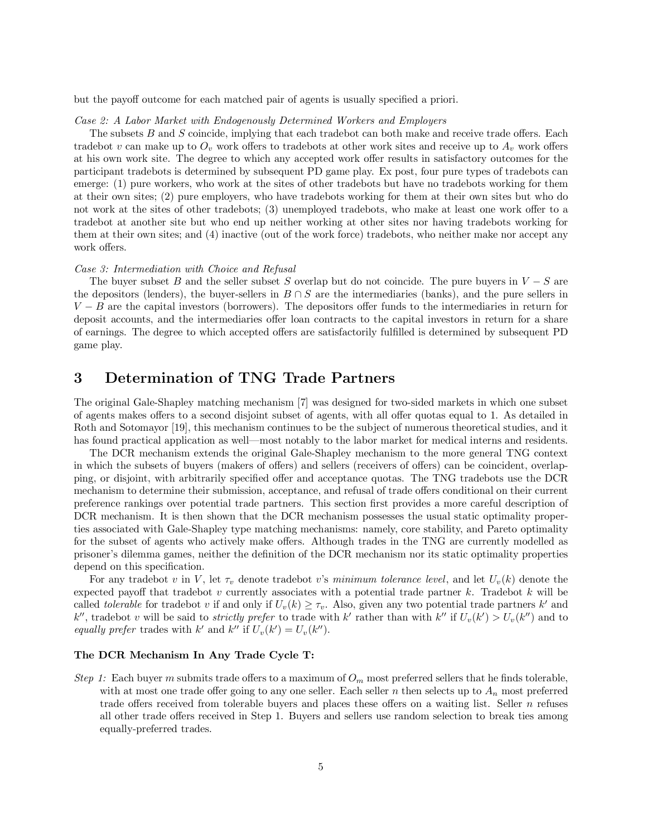but the payoff outcome for each matched pair of agents is usually specified a priori.

#### Case 2: A Labor Market with Endogenously Determined Workers and Employers

The subsets  $B$  and  $S$  coincide, implying that each tradebot can both make and receive trade offers. Each tradebot v can make up to  $O_v$  work offers to tradebots at other work sites and receive up to  $A_v$  work offers at his own work site. The degree to which any accepted work offer results in satisfactory outcomes for the participant tradebots is determined by subsequent PD game play. Ex post, four pure types of tradebots can emerge: (1) pure workers, who work at the sites of other tradebots but have no tradebots working for them at their own sites; (2) pure employers, who have tradebots working for them at their own sites but who do not work at the sites of other tradebots;  $(3)$  unemployed tradebots, who make at least one work offer to a tradebot at another site but who end up neither working at other sites nor having tradebots working for them at their own sites; and (4) inactive (out of the work force) tradebots, who neither make nor accept any work offers.

#### Case 3: Intermediation with Choice and Refusal

The buyer subset B and the seller subset S overlap but do not coincide. The pure buyers in  $V-S$  are the depositors (lenders), the buyer-sellers in  $B \cap S$  are the intermediaries (banks), and the pure sellers in  $V - B$  are the capital investors (borrowers). The depositors offer funds to the intermediaries in return for deposit accounts, and the intermediaries offer loan contracts to the capital investors in return for a share of earnings. The degree to which accepted offers are satisfactorily fulfilled is determined by subsequent PD game play.

## 3 Determination of TNG Trade Partners

The original Gale-Shapley matching mechanism [7] was designed for two-sided markets in which one subset of agents makes offers to a second disjoint subset of agents, with all offer quotas equal to 1. As detailed in Roth and Sotomayor [19], this mechanism continues to be the subject of numerous theoretical studies, and it has found practical application as well—most notably to the labor market for medical interns and residents.

The DCR mechanism extends the original Gale-Shapley mechanism to the more general TNG context in which the subsets of buyers (makers of offers) and sellers (receivers of offers) can be coincident, overlapping, or disjoint, with arbitrarily specified offer and acceptance quotas. The TNG tradebots use the DCR mechanism to determine their submission, acceptance, and refusal of trade offers conditional on their current preference rankings over potential trade partners. This section first provides a more careful description of DCR mechanism. It is then shown that the DCR mechanism possesses the usual static optimality properties associated with Gale-Shapley type matching mechanisms: namely, core stability, and Pareto optimality for the subset of agents who actively make offers. Although trades in the TNG are currently modelled as prisoner's dilemma games, neither the definition of the DCR mechanism nor its static optimality properties depend on this specification.

For any tradebot v in V, let  $\tau_v$  denote tradebot v's minimum tolerance level, and let  $U_v(k)$  denote the expected payoff that tradebot  $v$  currently associates with a potential trade partner  $k$ . Tradebot  $k$  will be called *tolerable* for tradebot v if and only if  $U_v(k) \geq \tau_v$ . Also, given any two potential trade partners k' and k'', tradebot v will be said to *strictly prefer* to trade with k' rather than with k'' if  $U_v(k') > U_v(k'')$  and to equally prefer trades with k' and k'' if  $U_v(k') = U_v(k'')$ .

#### **The DCR Mechanism In Any Trade Cycle T:**

Step 1: Each buyer m submits trade offers to a maximum of  $O_m$  most preferred sellers that he finds tolerable, with at most one trade offer going to any one seller. Each seller n then selects up to  $A_n$  most preferred trade offers received from tolerable buyers and places these offers on a waiting list. Seller  $n$  refuses all other trade offers received in Step 1. Buyers and sellers use random selection to break ties among equally-preferred trades.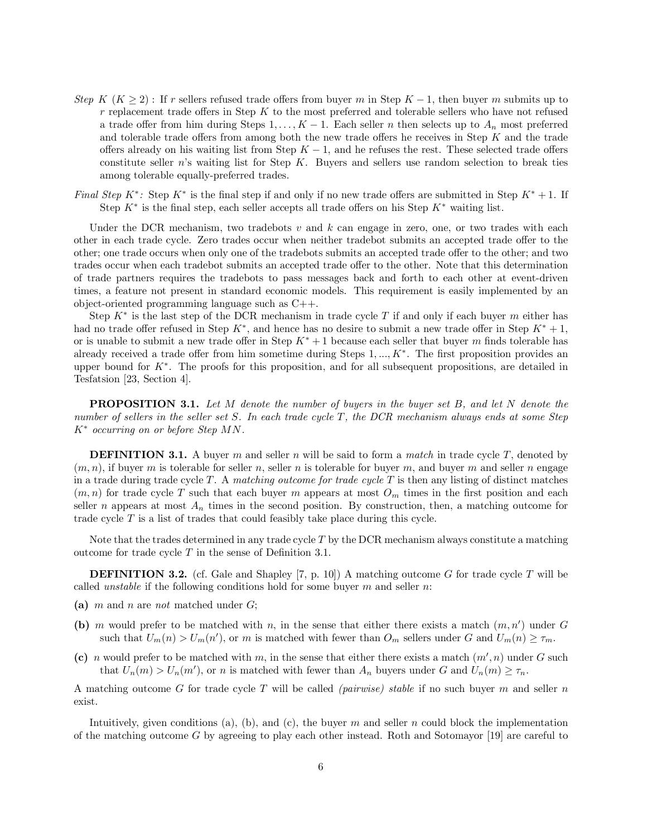- Step K  $(K \geq 2)$ : If r sellers refused trade offers from buyer m in Step  $K-1$ , then buyer m submits up to  $r$  replacement trade offers in Step  $K$  to the most preferred and tolerable sellers who have not refused a trade offer from him during Steps 1,...,  $K-1$ . Each seller n then selects up to  $A_n$  most preferred and tolerable trade offers from among both the new trade offers he receives in Step  $K$  and the trade offers already on his waiting list from Step  $K - 1$ , and he refuses the rest. These selected trade offers constitute seller  $n$ 's waiting list for Step K. Buyers and sellers use random selection to break ties among tolerable equally-preferred trades.
- Final Step  $K^*$ : Step  $K^*$  is the final step if and only if no new trade offers are submitted in Step  $K^*+1$ . If Step  $K^*$  is the final step, each seller accepts all trade offers on his Step  $K^*$  waiting list.

Under the DCR mechanism, two tradebots  $v$  and  $k$  can engage in zero, one, or two trades with each other in each trade cycle. Zero trades occur when neither tradebot submits an accepted trade offer to the other; one trade occurs when only one of the tradebots submits an accepted trade offer to the other; and two trades occur when each tradebot submits an accepted trade offer to the other. Note that this determination of trade partners requires the tradebots to pass messages back and forth to each other at event-driven times, a feature not present in standard economic models. This requirement is easily implemented by an object-oriented programming language such as C++.

Step  $K^*$  is the last step of the DCR mechanism in trade cycle T if and only if each buyer m either has had no trade offer refused in Step  $K^*$ , and hence has no desire to submit a new trade offer in Step  $K^* + 1$ , or is unable to submit a new trade offer in Step  $K^* + 1$  because each seller that buyer m finds tolerable has already received a trade offer from him sometime during Steps  $1, ..., K^*$ . The first proposition provides an upper bound for  $K^*$ . The proofs for this proposition, and for all subsequent propositions, are detailed in Tesfatsion [23, Section 4].

**PROPOSITION 3.1.** Let M denote the number of buyers in the buyer set B, and let N denote the number of sellers in the seller set S. In each trade cycle  $T$ , the DCR mechanism always ends at some Step  $K^*$  occurring on or before Step MN.

**DEFINITION** 3.1. A buyer m and seller n will be said to form a match in trade cycle T, denoted by  $(m, n)$ , if buyer m is tolerable for seller n, seller n is tolerable for buyer m, and buyer m and seller n engage in a trade during trade cycle T. A matching outcome for trade cycle T is then any listing of distinct matches  $(m, n)$  for trade cycle T such that each buyer m appears at most  $O_m$  times in the first position and each seller n appears at most  $A_n$  times in the second position. By construction, then, a matching outcome for trade cycle  $T$  is a list of trades that could feasibly take place during this cycle.

Note that the trades determined in any trade cycle  $T$  by the DCR mechanism always constitute a matching outcome for trade cycle  $T$  in the sense of Definition 3.1.

**DEFINITION 3.2.** (cf. Gale and Shapley [7, p. 10]) A matching outcome G for trade cycle T will be called *unstable* if the following conditions hold for some buyer  $m$  and seller  $n$ :

- **(a)** m and n are not matched under G;
- (b) m would prefer to be matched with n, in the sense that either there exists a match  $(m, n')$  under G such that  $U_m(n) > U_m(n')$ , or m is matched with fewer than  $O_m$  sellers under G and  $U_m(n) \geq \tau_m$ .
- (c) n would prefer to be matched with m, in the sense that either there exists a match  $(m', n)$  under G such that  $U_n(m) > U_n(m')$ , or n is matched with fewer than  $A_n$  buyers under G and  $U_n(m) \geq \tau_n$ .

A matching outcome G for trade cycle T will be called *(pairwise) stable* if no such buyer m and seller n exist.

Intuitively, given conditions (a), (b), and (c), the buyer m and seller n could block the implementation of the matching outcome G by agreeing to play each other instead. Roth and Sotomayor  $[19]$  are careful to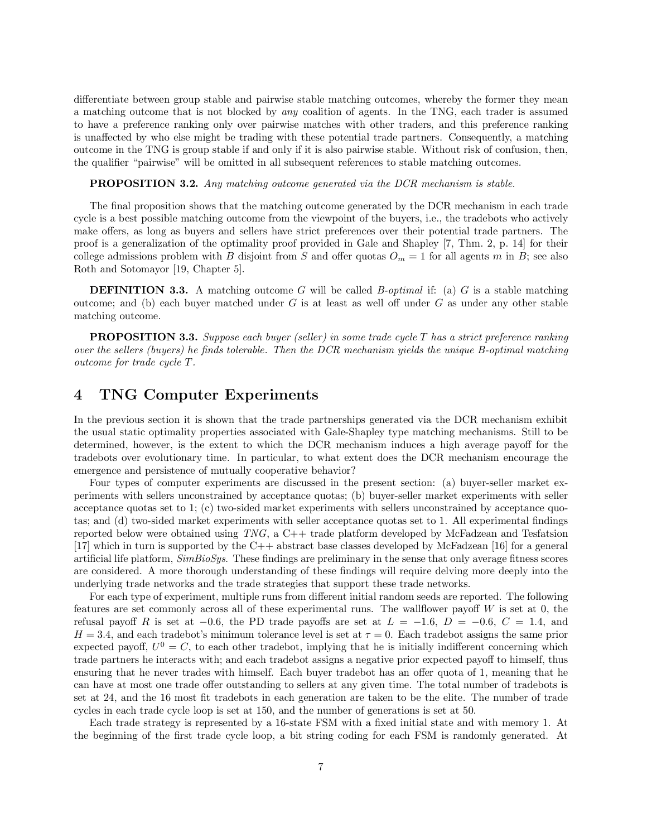differentiate between group stable and pairwise stable matching outcomes, whereby the former they mean a matching outcome that is not blocked by any coalition of agents. In the TNG, each trader is assumed to have a preference ranking only over pairwise matches with other traders, and this preference ranking is unaffected by who else might be trading with these potential trade partners. Consequently, a matching outcome in the TNG is group stable if and only if it is also pairwise stable. Without risk of confusion, then, the qualifier "pairwise" will be omitted in all subsequent references to stable matching outcomes.

**PROPOSITION 3.2.** Any matching outcome generated via the DCR mechanism is stable.

The final proposition shows that the matching outcome generated by the DCR mechanism in each trade cycle is a best possible matching outcome from the viewpoint of the buyers, i.e., the tradebots who actively make offers, as long as buyers and sellers have strict preferences over their potential trade partners. The proof is a generalization of the optimality proof provided in Gale and Shapley [7, Thm. 2, p. 14] for their college admissions problem with B disjoint from S and offer quotas  $O_m = 1$  for all agents m in B; see also Roth and Sotomayor [19, Chapter 5].

**DEFINITION 3.3.** A matching outcome G will be called B-optimal if: (a) G is a stable matching outcome; and (b) each buyer matched under G is at least as well off under G as under any other stable matching outcome.

**PROPOSITION 3.3.** Suppose each buyer (seller) in some trade cycle T has a strict preference ranking over the sellers (buyers) he finds tolerable. Then the DCR mechanism yields the unique B-optimal matching outcome for trade cycle T.

## 4 TNG Computer Experiments

In the previous section it is shown that the trade partnerships generated via the DCR mechanism exhibit the usual static optimality properties associated with Gale-Shapley type matching mechanisms. Still to be determined, however, is the extent to which the DCR mechanism induces a high average payoff for the tradebots over evolutionary time. In particular, to what extent does the DCR mechanism encourage the emergence and persistence of mutually cooperative behavior?

Four types of computer experiments are discussed in the present section: (a) buyer-seller market experiments with sellers unconstrained by acceptance quotas; (b) buyer-seller market experiments with seller acceptance quotas set to 1; (c) two-sided market experiments with sellers unconstrained by acceptance quotas; and (d) two-sided market experiments with seller acceptance quotas set to 1. All experimental findings reported below were obtained using TNG, a C++ trade platform developed by McFadzean and Tesfatsion [17] which in turn is supported by the C++ abstract base classes developed by McFadzean [16] for a general artificial life platform,  $SimBioSys$ . These findings are preliminary in the sense that only average fitness scores are considered. A more thorough understanding of these findings will require delving more deeply into the underlying trade networks and the trade strategies that support these trade networks.

For each type of experiment, multiple runs from different initial random seeds are reported. The following features are set commonly across all of these experimental runs. The wallflower payoff  $W$  is set at 0, the refusal payoff R is set at  $-0.6$ , the PD trade payoffs are set at  $L = -1.6$ ,  $D = -0.6$ ,  $C = 1.4$ , and  $H = 3.4$ , and each tradebot's minimum tolerance level is set at  $\tau = 0$ . Each tradebot assigns the same prior expected payoff,  $U^0 = C$ , to each other tradebot, implying that he is initially indifferent concerning which trade partners he interacts with; and each tradebot assigns a negative prior expected payoff to himself, thus ensuring that he never trades with himself. Each buyer tradebot has an offer quota of 1, meaning that he can have at most one trade offer outstanding to sellers at any given time. The total number of tradebots is set at 24, and the 16 most fit tradebots in each generation are taken to be the elite. The number of trade cycles in each trade cycle loop is set at 150, and the number of generations is set at 50.

Each trade strategy is represented by a 16-state FSM with a fixed initial state and with memory 1. At the beginning of the first trade cycle loop, a bit string coding for each FSM is randomly generated. At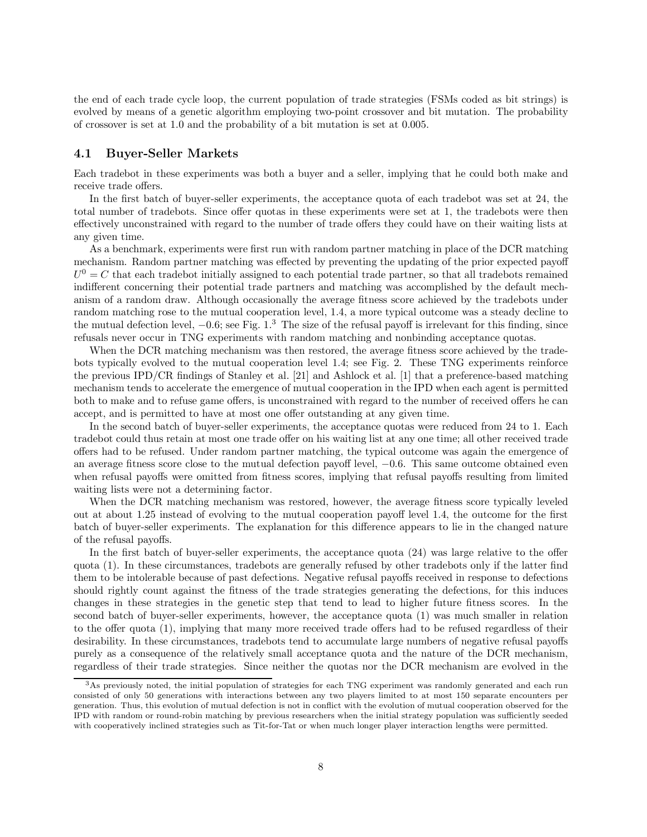the end of each trade cycle loop, the current population of trade strategies (FSMs coded as bit strings) is evolved by means of a genetic algorithm employing two-point crossover and bit mutation. The probability of crossover is set at 1:0 and the probability of a bit mutation is set at 0:005.

### 4.1 Buyer-Seller Markets

Each tradebot in these experiments was both a buyer and a seller, implying that he could both make and receive trade offers.

In the first batch of buyer-seller experiments, the acceptance quota of each tradebot was set at 24, the total number of tradebots. Since offer quotas in these experiments were set at 1, the tradebots were then effectively unconstrained with regard to the number of trade offers they could have on their waiting lists at any given time.

As a benchmark, experiments were first run with random partner matching in place of the DCR matching mechanism. Random partner matching was effected by preventing the updating of the prior expected payoff  $U^0 = C$  that each tradebot initially assigned to each potential trade partner, so that all tradebots remained indifferent concerning their potential trade partners and matching was accomplished by the default mechanism of a random draw. Although occasionally the average fitness score achieved by the tradebots under random matching rose to the mutual cooperation level, 1:4, a more typical outcome was a steady decline to the mutual defection level,  $-0.6$ ; see Fig. 1.<sup>3</sup> The size of the refusal payoff is irrelevant for this finding, since refusals never occur in TNG experiments with random matching and nonbinding acceptance quotas.

When the DCR matching mechanism was then restored, the average fitness score achieved by the tradebots typically evolved to the mutual cooperation level 1:4; see Fig. 2. These TNG experiments reinforce the previous IPD/CR findings of Stanley et al. [21] and Ashlock et al. [1] that a preference-based matching mechanism tends to accelerate the emergence of mutual cooperation in the IPD when each agent is permitted both to make and to refuse game offers, is unconstrained with regard to the number of received offers he can accept, and is permitted to have at most one offer outstanding at any given time.

In the second batch of buyer-seller experiments, the acceptance quotas were reduced from 24 to 1. Each tradebot could thus retain at most one trade offer on his waiting list at any one time; all other received trade o®ers had to be refused. Under random partner matching, the typical outcome was again the emergence of an average fitness score close to the mutual defection payoff level,  $-0.6$ . This same outcome obtained even when refusal payoffs were omitted from fitness scores, implying that refusal payoffs resulting from limited waiting lists were not a determining factor.

When the DCR matching mechanism was restored, however, the average fitness score typically leveled out at about 1.25 instead of evolving to the mutual cooperation payoff level 1.4, the outcome for the first batch of buyer-seller experiments. The explanation for this difference appears to lie in the changed nature of the refusal payoffs.

In the first batch of buyer-seller experiments, the acceptance quota  $(24)$  was large relative to the offer quota  $(1)$ . In these circumstances, tradebots are generally refused by other tradebots only if the latter find them to be intolerable because of past defections. Negative refusal payoffs received in response to defections should rightly count against the fitness of the trade strategies generating the defections, for this induces changes in these strategies in the genetic step that tend to lead to higher future fitness scores. In the second batch of buyer-seller experiments, however, the acceptance quota (1) was much smaller in relation to the offer quota (1), implying that many more received trade offers had to be refused regardless of their desirability. In these circumstances, tradebots tend to accumulate large numbers of negative refusal payoffs purely as a consequence of the relatively small acceptance quota and the nature of the DCR mechanism, regardless of their trade strategies. Since neither the quotas nor the DCR mechanism are evolved in the

<sup>3</sup>As previously noted, the initial population of strategies for each TNG experiment was randomly generated and each run consisted of only 50 generations with interactions between any two players limited to at most 150 separate encounters per generation. Thus, this evolution of mutual defection is not in conflict with the evolution of mutual cooperation observed for the IPD with random or round-robin matching by previous researchers when the initial strategy population was sufficiently seeded with cooperatively inclined strategies such as Tit-for-Tat or when much longer player interaction lengths were permitted.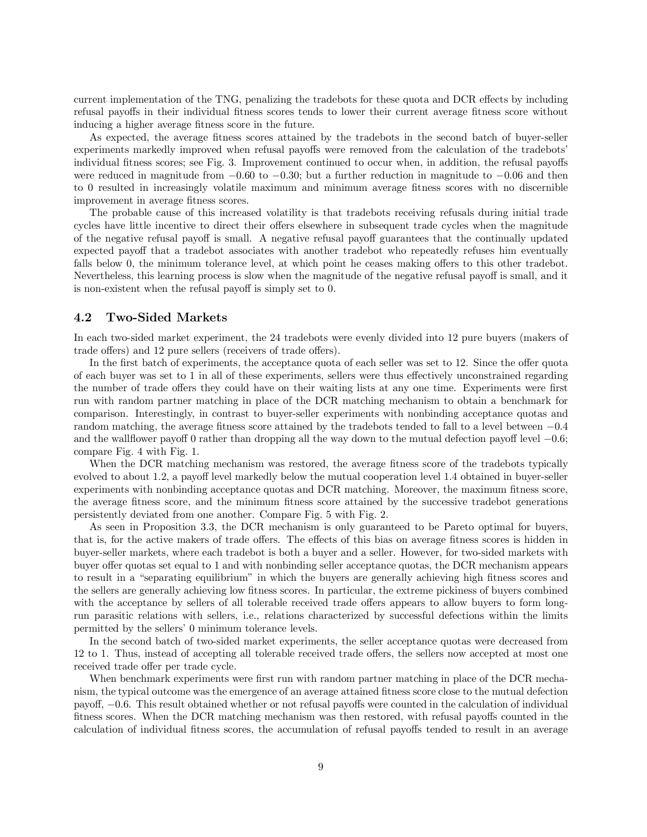current implementation of the TNG, penalizing the tradebots for these quota and DCR effects by including refusal payoffs in their individual fitness scores tends to lower their current average fitness score without inducing a higher average fitness score in the future.

As expected, the average fitness scores attained by the tradebots in the second batch of buyer-seller experiments markedly improved when refusal payoffs were removed from the calculation of the tradebots' individual fitness scores; see Fig. 3. Improvement continued to occur when, in addition, the refusal payoffs were reduced in magnitude from  $-0.60$  to  $-0.30$ ; but a further reduction in magnitude to  $-0.06$  and then to 0 resulted in increasingly volatile maximum and minimum average fitness scores with no discernible improvement in average fitness scores.

The probable cause of this increased volatility is that tradebots receiving refusals during initial trade cycles have little incentive to direct their offers elsewhere in subsequent trade cycles when the magnitude of the negative refusal payoff is small. A negative refusal payoff guarantees that the continually updated expected payoff that a tradebot associates with another tradebot who repeatedly refuses him eventually falls below 0, the minimum tolerance level, at which point he ceases making offers to this other tradebot. Nevertheless, this learning process is slow when the magnitude of the negative refusal payoff is small, and it is non-existent when the refusal payoff is simply set to 0.

#### 4.2 Two-Sided Markets

In each two-sided market experiment, the 24 tradebots were evenly divided into 12 pure buyers (makers of trade offers) and 12 pure sellers (receivers of trade offers).

In the first batch of experiments, the acceptance quota of each seller was set to 12. Since the offer quota of each buyer was set to 1 in all of these experiments, sellers were thus effectively unconstrained regarding the number of trade offers they could have on their waiting lists at any one time. Experiments were first run with random partner matching in place of the DCR matching mechanism to obtain a benchmark for comparison. Interestingly, in contrast to buyer-seller experiments with nonbinding acceptance quotas and random matching, the average fitness score attained by the tradebots tended to fall to a level between  $-0.4$ and the wallflower payoff 0 rather than dropping all the way down to the mutual defection payoff level  $-0.6$ ; compare Fig. 4 with Fig. 1.

When the DCR matching mechanism was restored, the average fitness score of the tradebots typically evolved to about 1.2, a payoff level markedly below the mutual cooperation level 1.4 obtained in buyer-seller experiments with nonbinding acceptance quotas and DCR matching. Moreover, the maximum fitness score, the average fitness score, and the minimum fitness score attained by the successive tradebot generations persistently deviated from one another. Compare Fig. 5 with Fig. 2.

As seen in Proposition 3.3, the DCR mechanism is only guaranteed to be Pareto optimal for buyers, that is, for the active makers of trade offers. The effects of this bias on average fitness scores is hidden in buyer-seller markets, where each tradebot is both a buyer and a seller. However, for two-sided markets with buyer offer quotas set equal to 1 and with nonbinding seller acceptance quotas, the DCR mechanism appears to result in a "separating equilibrium" in which the buyers are generally achieving high fitness scores and the sellers are generally achieving low fitness scores. In particular, the extreme pickiness of buyers combined with the acceptance by sellers of all tolerable received trade offers appears to allow buyers to form longrun parasitic relations with sellers, i.e., relations characterized by successful defections within the limits permitted by the sellers' 0 minimum tolerance levels.

In the second batch of two-sided market experiments, the seller acceptance quotas were decreased from 12 to 1. Thus, instead of accepting all tolerable received trade offers, the sellers now accepted at most one received trade offer per trade cycle.

When benchmark experiments were first run with random partner matching in place of the DCR mechanism, the typical outcome was the emergence of an average attained fitness score close to the mutual defection payoff,  $-0.6$ . This result obtained whether or not refusal payoffs were counted in the calculation of individual fitness scores. When the DCR matching mechanism was then restored, with refusal payoffs counted in the calculation of individual fitness scores, the accumulation of refusal payoffs tended to result in an average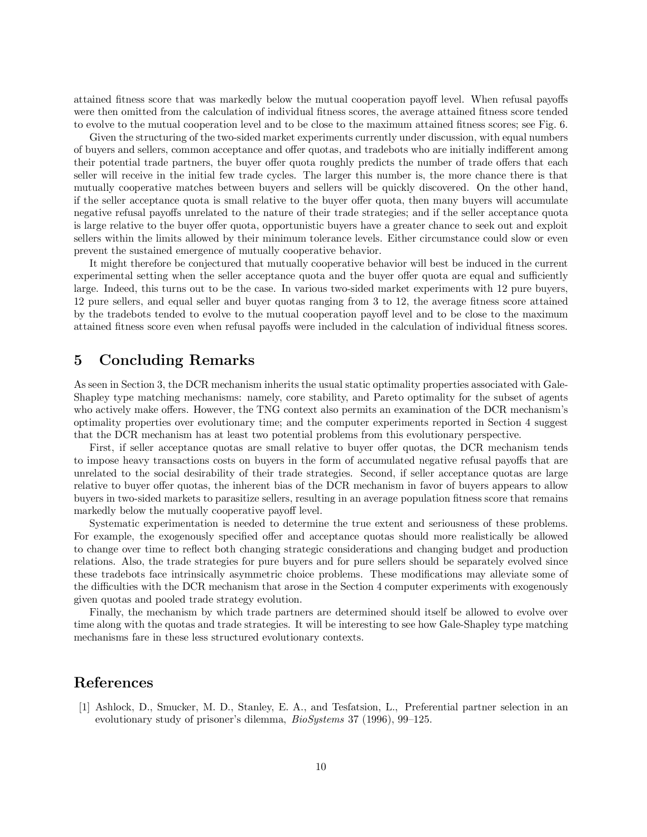attained fitness score that was markedly below the mutual cooperation payoff level. When refusal payoffs were then omitted from the calculation of individual fitness scores, the average attained fitness score tended to evolve to the mutual cooperation level and to be close to the maximum attained fitness scores; see Fig. 6.

Given the structuring of the two-sided market experiments currently under discussion, with equal numbers of buyers and sellers, common acceptance and offer quotas, and tradebots who are initially indifferent among their potential trade partners, the buyer offer quota roughly predicts the number of trade offers that each seller will receive in the initial few trade cycles. The larger this number is, the more chance there is that mutually cooperative matches between buyers and sellers will be quickly discovered. On the other hand, if the seller acceptance quota is small relative to the buyer offer quota, then many buyers will accumulate negative refusal payoffs unrelated to the nature of their trade strategies; and if the seller acceptance quota is large relative to the buyer offer quota, opportunistic buyers have a greater chance to seek out and exploit sellers within the limits allowed by their minimum tolerance levels. Either circumstance could slow or even prevent the sustained emergence of mutually cooperative behavior.

It might therefore be conjectured that mutually cooperative behavior will best be induced in the current experimental setting when the seller acceptance quota and the buyer offer quota are equal and sufficiently large. Indeed, this turns out to be the case. In various two-sided market experiments with 12 pure buyers, 12 pure sellers, and equal seller and buyer quotas ranging from 3 to 12, the average fitness score attained by the tradebots tended to evolve to the mutual cooperation payoff level and to be close to the maximum attained fitness score even when refusal payoffs were included in the calculation of individual fitness scores.

## 5 Concluding Remarks

As seen in Section 3, the DCR mechanism inherits the usual static optimality properties associated with Gale-Shapley type matching mechanisms: namely, core stability, and Pareto optimality for the subset of agents who actively make offers. However, the TNG context also permits an examination of the DCR mechanism's optimality properties over evolutionary time; and the computer experiments reported in Section 4 suggest that the DCR mechanism has at least two potential problems from this evolutionary perspective.

First, if seller acceptance quotas are small relative to buyer offer quotas, the DCR mechanism tends to impose heavy transactions costs on buyers in the form of accumulated negative refusal payoffs that are unrelated to the social desirability of their trade strategies. Second, if seller acceptance quotas are large relative to buyer offer quotas, the inherent bias of the DCR mechanism in favor of buyers appears to allow buyers in two-sided markets to parasitize sellers, resulting in an average population fitness score that remains markedly below the mutually cooperative payoff level.

Systematic experimentation is needed to determine the true extent and seriousness of these problems. For example, the exogenously specified offer and acceptance quotas should more realistically be allowed to change over time to reflect both changing strategic considerations and changing budget and production relations. Also, the trade strategies for pure buyers and for pure sellers should be separately evolved since these tradebots face intrinsically asymmetric choice problems. These modifications may alleviate some of the difficulties with the DCR mechanism that arose in the Section 4 computer experiments with exogenously given quotas and pooled trade strategy evolution.

Finally, the mechanism by which trade partners are determined should itself be allowed to evolve over time along with the quotas and trade strategies. It will be interesting to see how Gale-Shapley type matching mechanisms fare in these less structured evolutionary contexts.

# References

[1] Ashlock, D., Smucker, M. D., Stanley, E. A., and Tesfatsion, L., Preferential partner selection in an evolutionary study of prisoner's dilemma,  $BioSystems 37 (1996), 99-125.$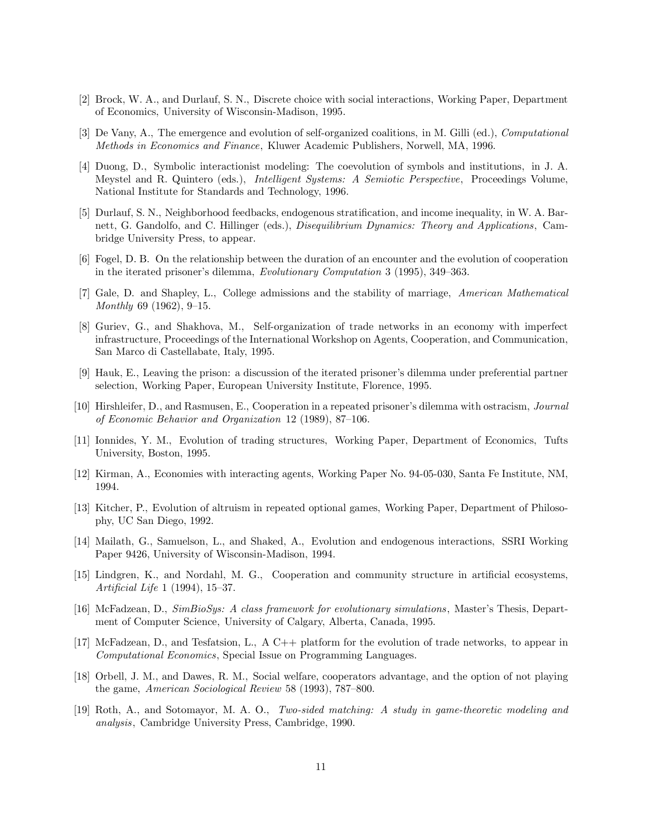- [2] Brock, W. A., and Durlauf, S. N., Discrete choice with social interactions, Working Paper, Department of Economics, University of Wisconsin-Madison, 1995.
- [3] De Vany, A., The emergence and evolution of self-organized coalitions, in M. Gilli (ed.), *Computational* Methods in Economics and Finance, Kluwer Academic Publishers, Norwell, MA, 1996.
- [4] Duong, D., Symbolic interactionist modeling: The coevolution of symbols and institutions, in J. A. Meystel and R. Quintero (eds.), Intelligent Systems: A Semiotic Perspective, Proceedings Volume, National Institute for Standards and Technology, 1996.
- [5] Durlauf, S. N., Neighborhood feedbacks, endogenous stratification, and income inequality, in W. A. Barnett, G. Gandolfo, and C. Hillinger (eds.), *Disequilibrium Dynamics: Theory and Applications*, Cambridge University Press, to appear.
- [6] Fogel, D. B. On the relationship between the duration of an encounter and the evolution of cooperation in the iterated prisoner's dilemma, Evolutionary Computation 3 (1995), 349-363.
- [7] Gale, D. and Shapley, L., College admissions and the stability of marriage, American Mathematical Monthly 69  $(1962)$ , 9-15.
- [8] Guriev, G., and Shakhova, M., Self-organization of trade networks in an economy with imperfect infrastructure, Proceedings of the International Workshop on Agents, Cooperation, and Communication, San Marco di Castellabate, Italy, 1995.
- [9] Hauk, E., Leaving the prison: a discussion of the iterated prisoner's dilemma under preferential partner selection, Working Paper, European University Institute, Florence, 1995.
- [10] Hirshleifer, D., and Rasmusen, E., Cooperation in a repeated prisoner's dilemma with ostracism, Journal of Economic Behavior and Organization  $12$  (1989), 87-106.
- [11] Ionnides, Y. M., Evolution of trading structures, Working Paper, Department of Economics, Tufts University, Boston, 1995.
- [12] Kirman, A., Economies with interacting agents, Working Paper No. 94-05-030, Santa Fe Institute, NM, 1994.
- [13] Kitcher, P., Evolution of altruism in repeated optional games, Working Paper, Department of Philosophy, UC San Diego, 1992.
- [14] Mailath, G., Samuelson, L., and Shaked, A., Evolution and endogenous interactions, SSRI Working Paper 9426, University of Wisconsin-Madison, 1994.
- [15] Lindgren, K., and Nordahl, M. G., Cooperation and community structure in artificial ecosystems, Artificial Life 1 (1994),  $15{-}37$ .
- [16] McFadzean, D., SimBioSys: A class framework for evolutionary simulations, Master's Thesis, Department of Computer Science, University of Calgary, Alberta, Canada, 1995.
- [17] McFadzean, D., and Tesfatsion, L., A C++ platform for the evolution of trade networks, to appear in Computational Economics, Special Issue on Programming Languages.
- [18] Orbell, J. M., and Dawes, R. M., Social welfare, cooperators advantage, and the option of not playing the game, *American Sociological Review* 58 (1993), 787-800.
- [19] Roth, A., and Sotomayor, M. A. O., Two-sided matching: A study in game-theoretic modeling and analysis, Cambridge University Press, Cambridge, 1990.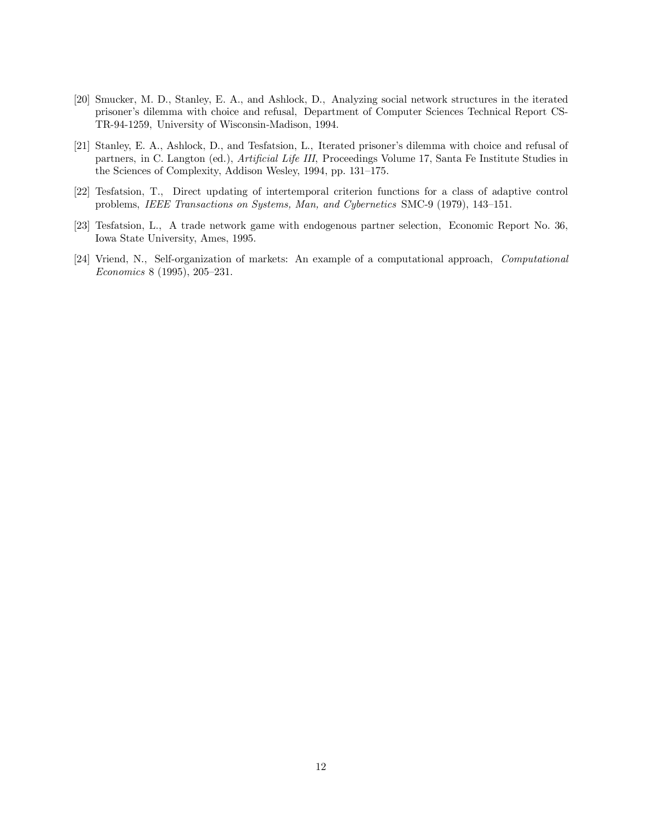- [20] Smucker, M. D., Stanley, E. A., and Ashlock, D., Analyzing social network structures in the iterated prisoner's dilemma with choice and refusal, Department of Computer Sciences Technical Report CS-TR-94-1259, University of Wisconsin-Madison, 1994.
- [21] Stanley, E. A., Ashlock, D., and Tesfatsion, L., Iterated prisoner's dilemma with choice and refusal of partners, in C. Langton (ed.), *Artificial Life III*, Proceedings Volume 17, Santa Fe Institute Studies in the Sciences of Complexity, Addison Wesley, 1994, pp. 131-175.
- [22] Tesfatsion, T., Direct updating of intertemporal criterion functions for a class of adaptive control problems, IEEE Transactions on Systems, Man, and Cybernetics SMC-9 (1979), 143-151.
- [23] Tesfatsion, L., A trade network game with endogenous partner selection, Economic Report No. 36, Iowa State University, Ames, 1995.
- [24] Vriend, N., Self-organization of markets: An example of a computational approach, Computational  $Economics 8 (1995), 205-231.$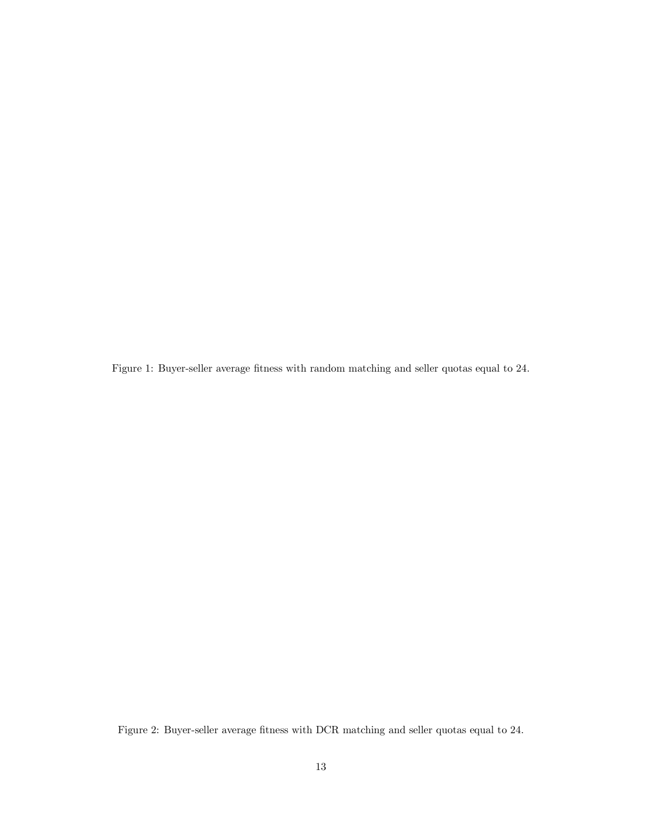Figure 1: Buyer-seller average fitness with random matching and seller quotas equal to 24.

Figure 2: Buyer-seller average fitness with DCR matching and seller quotas equal to 24.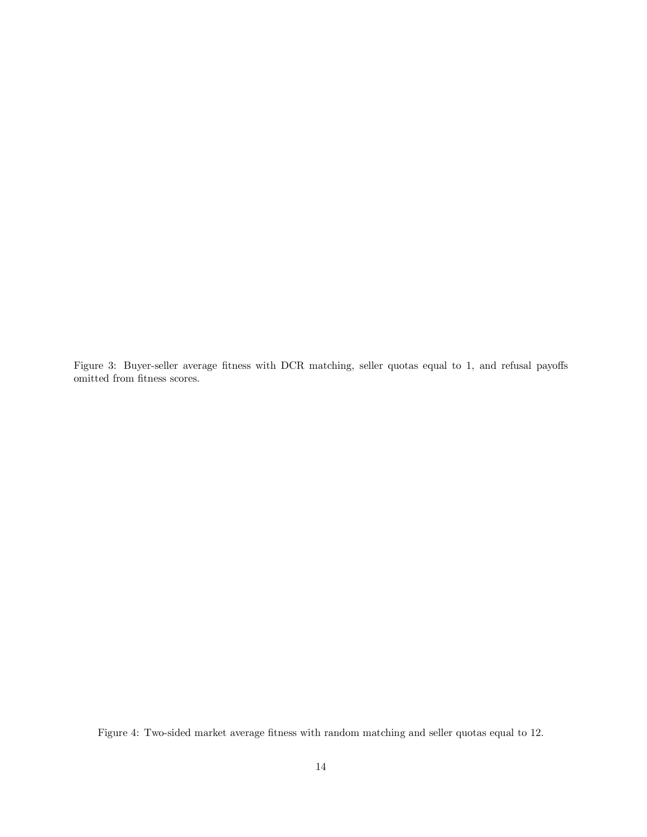Figure 3: Buyer-seller average fitness with DCR matching, seller quotas equal to 1, and refusal payoffs  $omitted$  from fitness scores.

Figure 4: Two-sided market average fitness with random matching and seller quotas equal to 12.